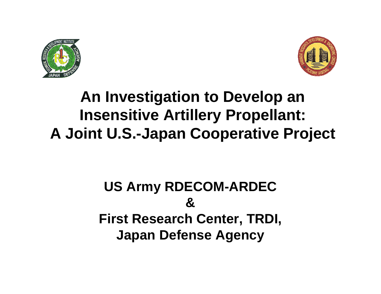



# **An Investigation to Develop an Insensitive Artillery Propellant: A Joint U.S.-Japan Cooperative Project**

## **US Army RDECOM-ARDEC &First Research Center, TRDI, Japan Defense Agency**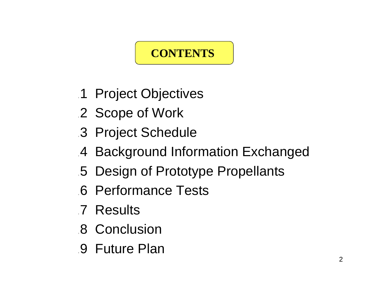## **CONTENTS**

- 1 Project Objectives
- 2 Scope of Work
- 3 Project Schedule
- 4 Background Information Exchanged
- 5 Design of Prototype Propellants
- 6 Performance Tests
- 7 Results
- 8 Conclusion
- 9 Future Plan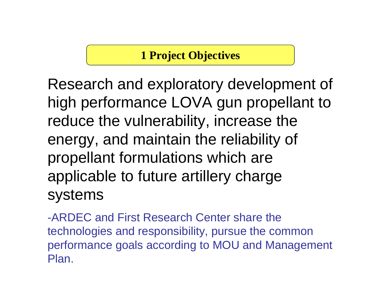#### **1 Project Objectives**

Research and exploratory development of high performance LOVA gun propellant to reduce the vulnerability, increase the energy, and maintain the reliability of propellant formulations which are applicable to future artillery charge systems

-ARDEC and First Research Center share thetechnologies and responsibility, pursue the common performance goals according to MOU and Management Plan.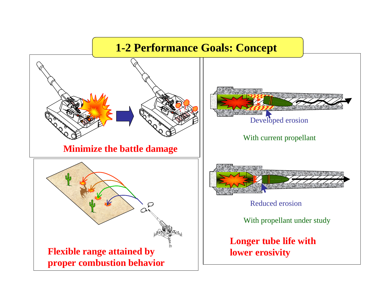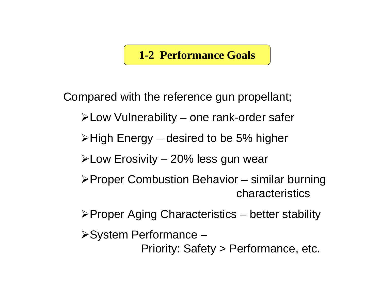#### **1-2 Performance Goals**

Compared with the reference gun propellant;

- Low Vulnerability one rank-order safer
- $\triangleright$ High Energy desired to be 5% higher
- $\blacktriangleright$  Low Erosivity 20% less gun wear
- Proper Combustion Behavior similar burning characteristics
- $\triangleright$  Proper Aging Characteristics better stability
- System Performance
	- Priority: Safety > Performance, etc.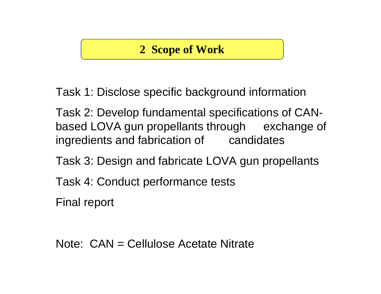#### **2 Scope of Work**

Task 1: Disclose specific background information

Task 2: Develop fundamental specifications of CANbased LOVA gun propellants through exchange of ingredients and fabrication of candidates

Task 3: Design and fabricate LOVA gun propellants

Task 4: Conduct performance tests

Final report

Note: CAN = Cellulose Acetate Nitrate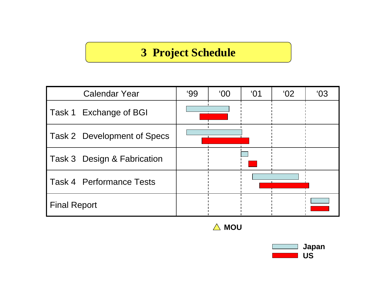#### **3 Project Schedule**

| <b>Calendar Year</b>            | 99' | $00^{\circ}$ | $^{\circ}$ O1 | 02' | 03' |
|---------------------------------|-----|--------------|---------------|-----|-----|
| Task 1 Exchange of BGI          |     |              |               |     |     |
| Task 2 Development of Specs     |     |              |               |     |     |
| Task 3 Design & Fabrication     |     |              |               |     |     |
| <b>Task 4 Performance Tests</b> |     |              |               |     |     |
| <b>Final Report</b>             |     |              |               |     |     |



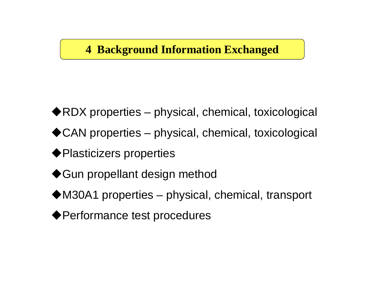#### **4 Background Information Exchanged**

◆RDX properties – physical, chemical, toxicological

◆ CAN properties – physical, chemical, toxicological

-Plasticizers properties

◆Gun propellant design method

◆M30A1 properties – physical, chemical, transport

-Performance test procedures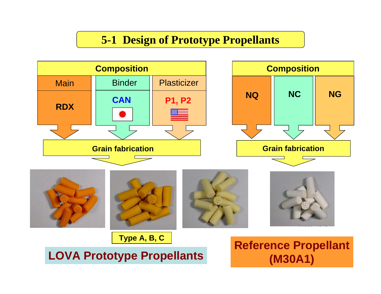#### **5-1 Design of Prototype Propellants**

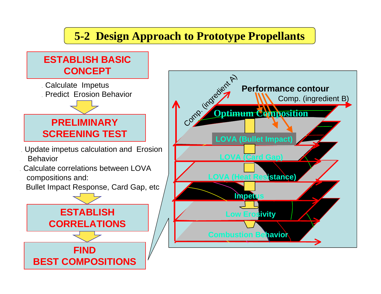## **5-2 Design Approach to Prototype Propellants**

#### **ESTABLISH BASICCONCEPT**



- Update impetus calculation and Erosion Behavior
- Calculate correlations between LOVAcompositions and:

Bullet Impact Response, Card Gap, etc



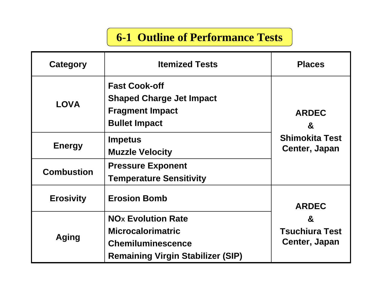## **6-1 Outline of Performance Tests**

| Category                                                                                                                                     | <b>Itemized Tests</b>                                                                                                                    | <b>Places</b>                                          |  |  |
|----------------------------------------------------------------------------------------------------------------------------------------------|------------------------------------------------------------------------------------------------------------------------------------------|--------------------------------------------------------|--|--|
| <b>LOVA</b>                                                                                                                                  | <b>Fast Cook-off</b><br><b>Shaped Charge Jet Impact</b><br><b>Fragment Impact</b><br><b>Bullet Impact</b>                                | <b>ARDEC</b><br>$\mathbf{g}$                           |  |  |
| <b>Impetus</b><br><b>Energy</b><br><b>Muzzle Velocity</b><br><b>Pressure Exponent</b><br><b>Combustion</b><br><b>Temperature Sensitivity</b> |                                                                                                                                          | <b>Shimokita Test</b><br>Center, Japan                 |  |  |
|                                                                                                                                              |                                                                                                                                          |                                                        |  |  |
| <b>Erosivity</b>                                                                                                                             | <b>Erosion Bomb</b>                                                                                                                      | <b>ARDEC</b>                                           |  |  |
| Aging                                                                                                                                        | <b>NO<sub>x</sub></b> Evolution Rate<br><b>Microcalorimatric</b><br><b>Chemiluminescence</b><br><b>Remaining Virgin Stabilizer (SIP)</b> | $\mathbf{g}$<br><b>Tsuchiura Test</b><br>Center, Japan |  |  |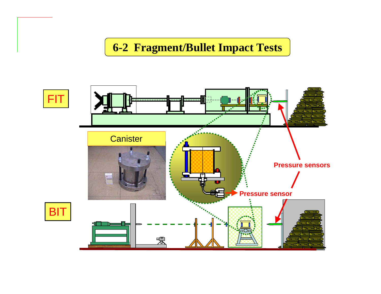#### **6-2 Fragment/Bullet Impact Tests**

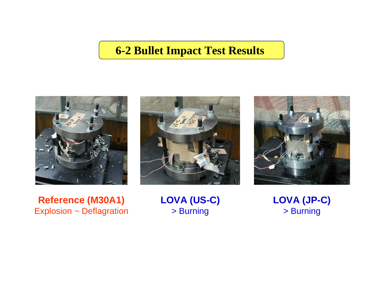#### **6-2 Bullet Impact Test Results**







**Reference (M30A1)** Explosion ~ Deflagration

#### **LOVA (US-C)** > Burning

**LOVA (JP-C)** > Burning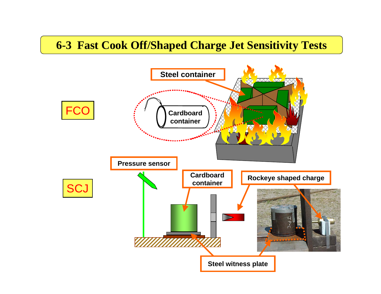#### **6-3 Fast Cook Off/Shaped Charge Jet Sensitivity Tests**

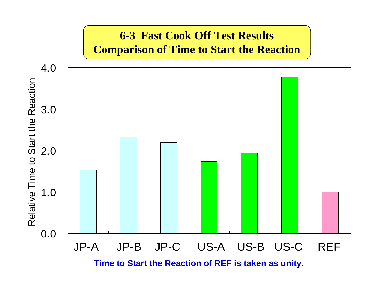#### **6-3 Fast Cook Off Test Results Comparison of Time to Start the Reaction**



**Time to Start the Reaction of REF is taken as unity.**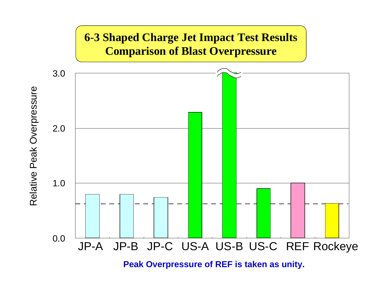

**Peak Overpressure of REF is taken as unity.**

Relative Peak Overpressure Relative Peak Overpressure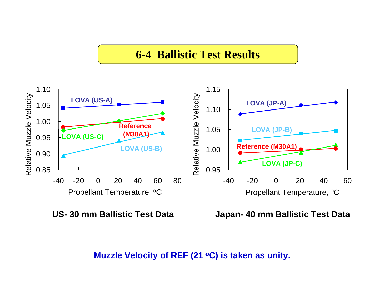#### **6-4 Ballistic Test Results**



**US- 30 mm Ballistic Test Data**

**Japan- 40 mm Ballistic Test Data**

**Muzzle Velocity of REF (21 oC) is taken as unity.**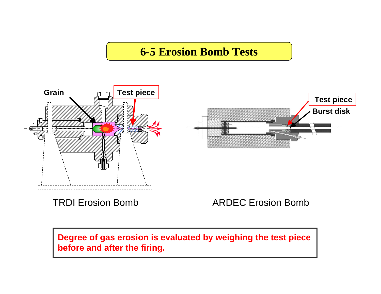#### **6-5 Erosion Bomb Tests**



TRDI Erosion Bomb

ARDEC Erosion Bomb

**Degree of gas erosion is evaluated by weighing the test piece before and after the firing.**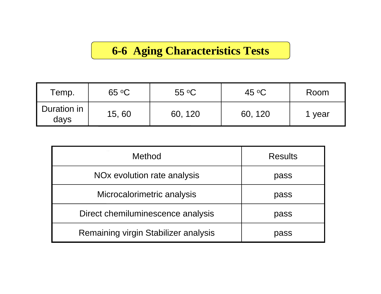## **6-6 Aging Characteristics Tests**

| Temp.               | $65 \text{ °C}$ | $55 \text{ °C}$ | 45 $\circ$ C | Room   |
|---------------------|-----------------|-----------------|--------------|--------|
| Duration in<br>days | 15,60           | 60, 120         | 60, 120      | 1 year |

| Method                                  | <b>Results</b> |  |  |
|-----------------------------------------|----------------|--|--|
| NO <sub>x</sub> evolution rate analysis | pass           |  |  |
| Microcalorimetric analysis              | pass           |  |  |
| Direct chemiluminescence analysis       | pass           |  |  |
| Remaining virgin Stabilizer analysis    | pass           |  |  |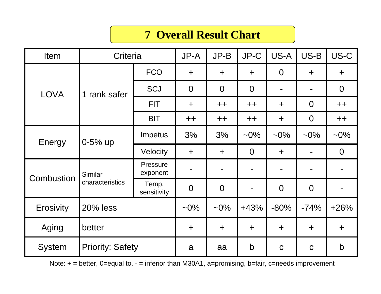#### **7 Overall Result Chart**

| Item             | Criteria                   |                      | JP-A           | $JP-B$         | JP-C           | US-A           | US-B           | US-C           |
|------------------|----------------------------|----------------------|----------------|----------------|----------------|----------------|----------------|----------------|
| <b>LOVA</b>      | rank safer<br>1            | <b>FCO</b>           | $+$            | $\ddot{}$      | $+$            | $\overline{0}$ | $\ddot{}$      | $\ddot{}$      |
|                  |                            | <b>SCJ</b>           | $\overline{0}$ | $\overline{0}$ | $\overline{0}$ |                |                | $\overline{0}$ |
|                  |                            | <b>FIT</b>           | $\ddot{}$      | $++$           | $++$           | $\ddot{}$      | $\overline{0}$ | $++$           |
|                  |                            | <b>BIT</b>           | $++$           | $++$           | $++$           | $\div$         | $\overline{0}$ | $++$           |
| Energy           | $0 - 5%$ up                | Impetus              | 3%             | 3%             | $-0\%$         | $~10\%$        | $-0\%$         | $~10\%$        |
|                  |                            | Velocity             | $\ddot{}$      | $\pm$          | $\overline{0}$ | $\ddot{}$      |                | $\overline{0}$ |
| Combustion       | Similar<br>characteristics | Pressure<br>exponent |                | $\blacksquare$ |                |                | $\blacksquare$ |                |
|                  |                            | Temp.<br>sensitivity | $\overline{0}$ | $\overline{0}$ |                | $\overline{0}$ | $\overline{0}$ |                |
| <b>Erosivity</b> | <b>20% less</b>            |                      | $-0\%$         | $-0\%$         | $+43%$         | $-80%$         | $-74%$         | $+26%$         |
| Aging            | better                     |                      | $\ddot{}$      | $\ddot{}$      | $\ddot{}$      | $\ddot{}$      | $\ddot{}$      | $\ddot{}$      |
| <b>System</b>    | <b>Priority: Safety</b>    |                      | a              | aa             | $\mathsf b$    | $\mathbf C$    | $\mathbf C$    | $\mathsf b$    |

Note: + = better, 0=equal to, - = inferior than M30A1, a=promising, b=fair, c=needs improvement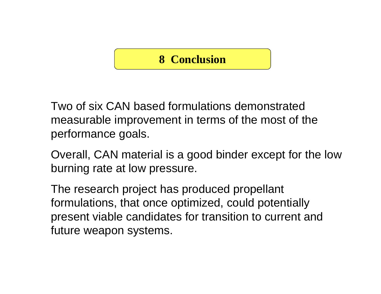#### **8 Conclusion**

Two of six CAN based formulations demonstratedmeasurable improvement in terms of the most of the performance goals.

Overall, CAN material is a good binder except for the low burning rate at low pressure.

The research project has produced propellant formulations, that once optimized, could potentially present viable candidates for transition to current and future weapon systems.